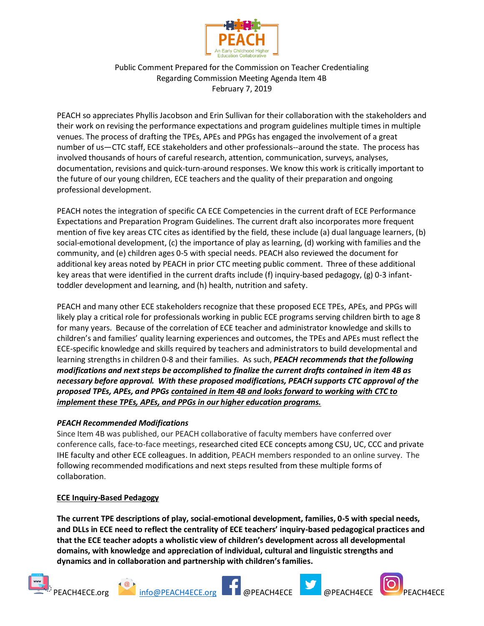

Public Comment Prepared for the Commission on Teacher Credentialing Regarding Commission Meeting Agenda Item 4B February 7, 2019

PEACH so appreciates Phyllis Jacobson and Erin Sullivan for their collaboration with the stakeholders and their work on revising the performance expectations and program guidelines multiple times in multiple venues. The process of drafting the TPEs, APEs and PPGs has engaged the involvement of a great number of us—CTC staff, ECE stakeholders and other professionals--around the state. The process has involved thousands of hours of careful research, attention, communication, surveys, analyses, documentation, revisions and quick-turn-around responses. We know this work is critically important to the future of our young children, ECE teachers and the quality of their preparation and ongoing professional development.

PEACH notes the integration of specific CA ECE Competencies in the current draft of ECE Performance Expectations and Preparation Program Guidelines. The current draft also incorporates more frequent mention of five key areas CTC cites as identified by the field, these include (a) dual language learners, (b) social-emotional development, (c) the importance of play as learning, (d) working with families and the community, and (e) children ages 0-5 with special needs. PEACH also reviewed the document for additional key areas noted by PEACH in prior CTC meeting public comment. Three of these additional key areas that were identified in the current drafts include (f) inquiry-based pedagogy, (g) 0-3 infanttoddler development and learning, and (h) health, nutrition and safety.

PEACH and many other ECE stakeholders recognize that these proposed ECE TPEs, APEs, and PPGs will likely play a critical role for professionals working in public ECE programs serving children birth to age 8 for many years. Because of the correlation of ECE teacher and administrator knowledge and skills to children's and families' quality learning experiences and outcomes, the TPEs and APEs must reflect the ECE-specific knowledge and skills required by teachers and administrators to build developmental and learning strengths in children 0-8 and their families. As such, *PEACH recommends that the following modifications and next steps be accomplished to finalize the current drafts contained in item 4B as necessary before approval. With these proposed modifications, PEACH supports CTC approval of the proposed TPEs, APEs, and PPGs contained in Item 4B and looks forward to working with CTC to implement these TPEs, APEs, and PPGs in our higher education programs.*

## *PEACH Recommended Modifications*

Since Item 4B was published, our PEACH collaborative of faculty members have conferred over conference calls, face-to-face meetings, researched cited ECE concepts among CSU, UC, CCC and private IHE faculty and other ECE colleagues. In addition, PEACH members responded to an online survey. The following recommended modifications and next steps resulted from these multiple forms of collaboration.

## **ECE Inquiry-Based Pedagogy**

**The current TPE descriptions of play, social-emotional development, families, 0-5 with special needs, and DLLs in ECE need to reflect the centrality of ECE teachers' inquiry-based pedagogical practices and that the ECE teacher adopts a wholistic view of children's development across all developmental domains, with knowledge and appreciation of individual, cultural and linguistic strengths and dynamics and in collaboration and partnership with children's families.**









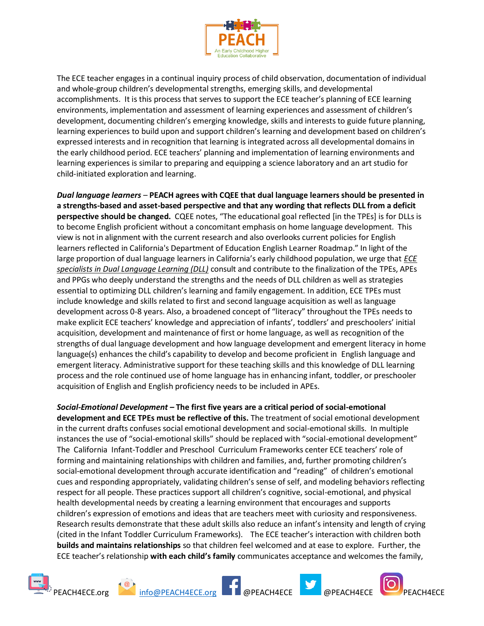

The ECE teacher engages in a continual inquiry process of child observation, documentation of individual and whole-group children's developmental strengths, emerging skills, and developmental accomplishments. It is this process that serves to support the ECE teacher's planning of ECE learning environments, implementation and assessment of learning experiences and assessment of children's development, documenting children's emerging knowledge, skills and interests to guide future planning, learning experiences to build upon and support children's learning and development based on children's expressed interests and in recognition that learning is integrated across all developmental domains in the early childhood period. ECE teachers' planning and implementation of learning environments and learning experiences is similar to preparing and equipping a science laboratory and an art studio for child-initiated exploration and learning.

*Dual language learners* – **PEACH agrees with CQEE that dual language learners should be presented in a strengths-based and asset-based perspective and that any wording that reflects DLL from a deficit perspective should be changed.** CQEE notes, "The educational goal reflected [in the TPEs] is for DLLs is to become English proficient without a concomitant emphasis on home language development. This view is not in alignment with the current research and also overlooks current policies for English learners reflected in California's Department of Education English Learner Roadmap." In light of the large proportion of dual language learners in California's early childhood population, we urge that *ECE specialists in Dual Language Learning (DLL)* consult and contribute to the finalization of the TPEs, APEs and PPGs who deeply understand the strengths and the needs of DLL children as well as strategies essential to optimizing DLL children's learning and family engagement. In addition, ECE TPEs must include knowledge and skills related to first and second language acquisition as well as language development across 0-8 years. Also, a broadened concept of "literacy" throughout the TPEs needs to make explicit ECE teachers' knowledge and appreciation of infants', toddlers' and preschoolers' initial acquisition, development and maintenance of first or home language, as well as recognition of the strengths of dual language development and how language development and emergent literacy in home language(s) enhances the child's capability to develop and become proficient in English language and emergent literacy. Administrative support for these teaching skills and this knowledge of DLL learning process and the role continued use of home language has in enhancing infant, toddler, or preschooler acquisition of English and English proficiency needs to be included in APEs.

*Social-Emotional Development –* **The first five years are a critical period of social-emotional development and ECE TPEs must be reflective of this.** The treatment of social emotional development in the current drafts confuses social emotional development and social-emotional skills. In multiple instances the use of "social-emotional skills" should be replaced with "social-emotional development" The California Infant-Toddler and Preschool Curriculum Frameworks center ECE teachers' role of forming and maintaining relationships with children and families, and, further promoting children's social-emotional development through accurate identification and "reading" of children's emotional cues and responding appropriately, validating children's sense of self, and modeling behaviors reflecting respect for all people. These practices support all children's cognitive, social-emotional, and physical health developmental needs by creating a learning environment that encourages and supports children's expression of emotions and ideas that are teachers meet with curiosity and responsiveness. Research results demonstrate that these adult skills also reduce an infant's intensity and length of crying (cited in the Infant Toddler Curriculum Frameworks). The ECE teacher's interaction with children both **builds and maintains relationships** so that children feel welcomed and at ease to explore. Further, the ECE teacher's relationship **with each child's family** communicates acceptance and welcomes the family,











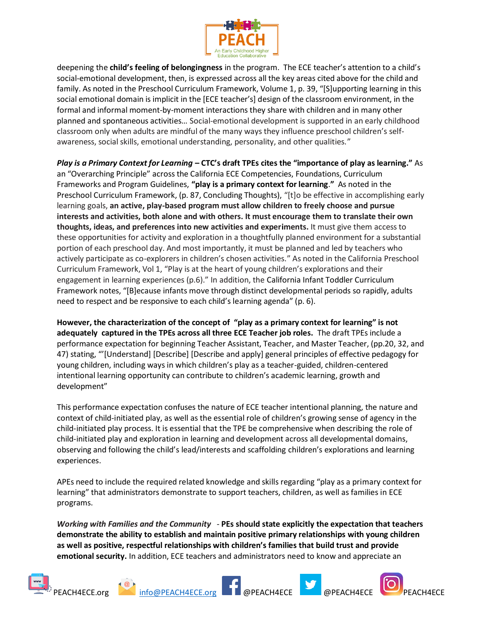

deepening the **child's feeling of belongingness** in the program. The ECE teacher's attention to a child's social-emotional development, then, is expressed across all the key areas cited above for the child and family. As noted in the Preschool Curriculum Framework, Volume 1, p. 39, "[S]upporting learning in this social emotional domain is implicit in the [ECE teacher's] design of the classroom environment, in the formal and informal moment-by-moment interactions they share with children and in many other planned and spontaneous activities… Social-emotional development is supported in an early childhood classroom only when adults are mindful of the many ways they influence preschool children's selfawareness, social skills, emotional understanding, personality, and other qualities."

*Play is a Primary Context for Learning* **– CTC's draft TPEs cites the "importance of play as learning."** As an "Overarching Principle" across the California ECE Competencies, Foundations, Curriculum Frameworks and Program Guidelines, **"play is a primary context for learning**.**"** As noted in the Preschool Curriculum Framework, (p. 87, Concluding Thoughts), "[t]o be effective in accomplishing early learning goals, **an active, play-based program must allow children to freely choose and pursue interests and activities, both alone and with others. It must encourage them to translate their own thoughts, ideas, and preferences into new activities and experiments.** It must give them access to these opportunities for activity and exploration in a thoughtfully planned environment for a substantial portion of each preschool day. And most importantly, it must be planned and led by teachers who actively participate as co-explorers in children's chosen activities." As noted in the California Preschool Curriculum Framework, Vol 1, "Play is at the heart of young children's explorations and their engagement in learning experiences (p.6)." In addition, the California Infant Toddler Curriculum Framework notes, "[B]ecause infants move through distinct developmental periods so rapidly, adults need to respect and be responsive to each child's learning agenda" (p. 6).

**However, the characterization of the concept of "play as a primary context for learning" is not adequately captured in the TPEs across all three ECE Teacher job roles.** The draft TPEs include a performance expectation for beginning Teacher Assistant, Teacher, and Master Teacher, (pp.20, 32, and 47) stating, "'[Understand] [Describe] [Describe and apply] general principles of effective pedagogy for young children, including ways in which children's play as a teacher-guided, children-centered intentional learning opportunity can contribute to children's academic learning, growth and development"

This performance expectation confuses the nature of ECE teacher intentional planning, the nature and context of child-initiated play, as well as the essential role of children's growing sense of agency in the child-initiated play process. It is essential that the TPE be comprehensive when describing the role of child-initiated play and exploration in learning and development across all developmental domains, observing and following the child's lead/interests and scaffolding children's explorations and learning experiences.

APEs need to include the required related knowledge and skills regarding "play as a primary context for learning" that administrators demonstrate to support teachers, children, as well as families in ECE programs.

*Working with Families and the Community* - **PEs should state explicitly the expectation that teachers demonstrate the ability to establish and maintain positive primary relationships with young children as well as positive, respectful relationships with children's families that build trust and provide emotional security.** In addition, ECE teachers and administrators need to know and appreciate an









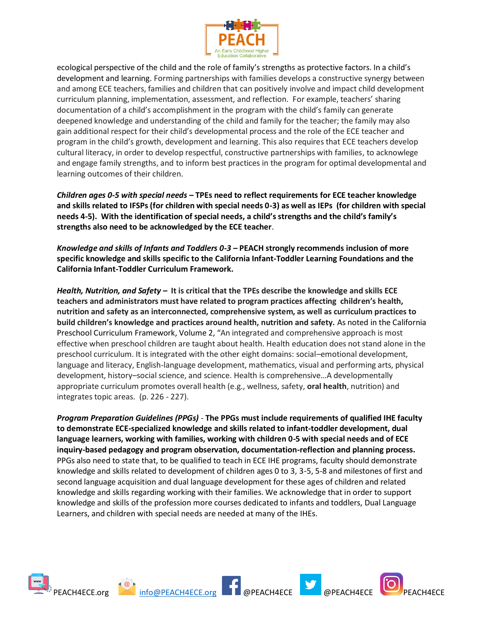

ecological perspective of the child and the role of family's strengths as protective factors. In a child's development and learning. Forming partnerships with families develops a constructive synergy between and among ECE teachers, families and children that can positively involve and impact child development curriculum planning, implementation, assessment, and reflection. For example, teachers' sharing documentation of a child's accomplishment in the program with the child's family can generate deepened knowledge and understanding of the child and family for the teacher; the family may also gain additional respect for their child's developmental process and the role of the ECE teacher and program in the child's growth, development and learning. This also requires that ECE teachers develop cultural literacy, in order to develop respectful, constructive partnerships with families, to acknowlege and engage family strengths, and to inform best practices in the program for optimal developmental and learning outcomes of their children.

*Children ages 0-5 with special needs* **– TPEs need to reflect requirements for ECE teacher knowledge and skills related to IFSPs (for children with special needs 0-3) as well as IEPs (for children with special needs 4-5). With the identification of special needs, a child's strengths and the child's family's strengths also need to be acknowledged by the ECE teacher**.

*Knowledge and skills of Infants and Toddlers 0-3 –* **PEACH strongly recommends inclusion of more specific knowledge and skills specific to the California Infant-Toddler Learning Foundations and the California Infant-Toddler Curriculum Framework.** 

*Health, Nutrition, and Safety –* **It is critical that the TPEs describe the knowledge and skills ECE teachers and administrators must have related to program practices affecting children's health, nutrition and safety as an interconnected, comprehensive system, as well as curriculum practices to build children's knowledge and practices around health, nutrition and safety.** As noted in the California Preschool Curriculum Framework, Volume 2, "An integrated and comprehensive approach is most effective when preschool children are taught about health. Health education does not stand alone in the preschool curriculum. It is integrated with the other eight domains: social–emotional development, language and literacy, English-language development, mathematics, visual and performing arts, physical development, history–social science, and science. Health is comprehensive…A developmentally appropriate curriculum promotes overall health (e.g., wellness, safety, **oral health**, nutrition) and integrates topic areas. (p. 226 - 227).

*Program Preparation Guidelines (PPGs)* - **The PPGs must include requirements of qualified IHE faculty to demonstrate ECE-specialized knowledge and skills related to infant-toddler development, dual language learners, working with families, working with children 0-5 with special needs and of ECE inquiry-based pedagogy and program observation, documentation-reflection and planning process.** PPGs also need to state that, to be qualified to teach in ECE IHE programs, faculty should demonstrate knowledge and skills related to development of children ages 0 to 3, 3-5, 5-8 and milestones of first and second language acquisition and dual language development for these ages of children and related knowledge and skills regarding working with their families. We acknowledge that in order to support knowledge and skills of the profession more courses dedicated to infants and toddlers, Dual Language Learners, and children with special needs are needed at many of the IHEs.